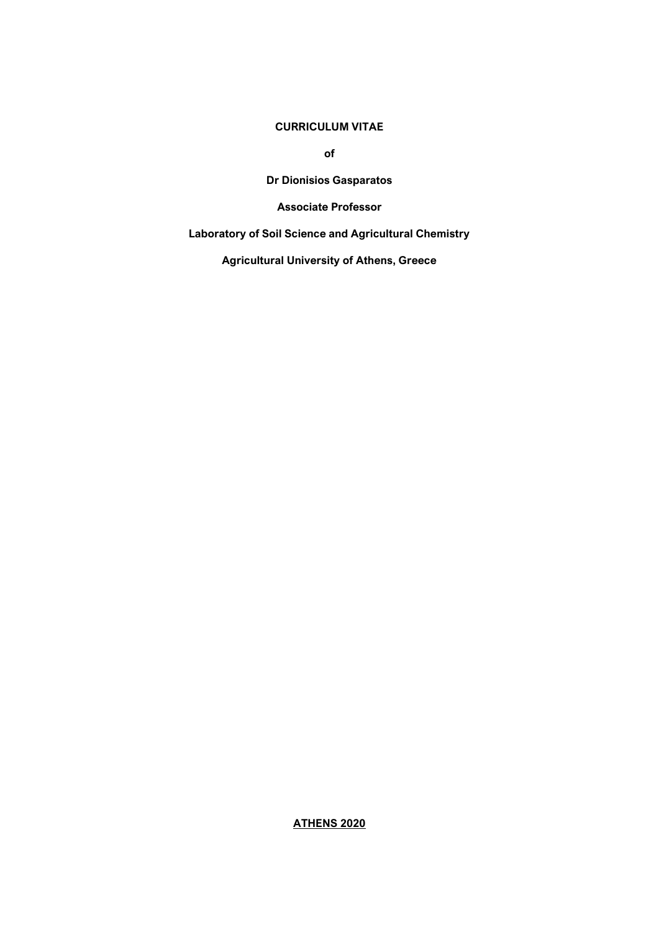## **CURRICULUM VITAE**

**of**

**Dr Dionisios Gasparatos**

**Associate Professor** 

**Laboratory of Soil Science and Agricultural Chemistry**

**Agricultural University of Athens, Greece**

**ATHENS 2020**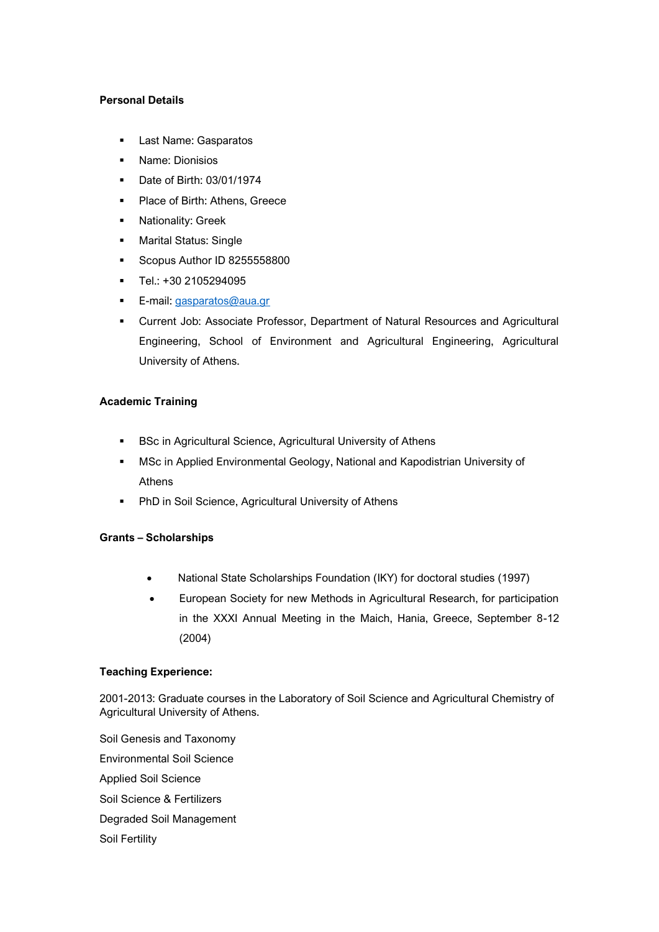### **Personal Details**

- Last Name: Gasparatos
- Name: Dionisios
- Date of Birth: 03/01/1974
- Place of Birth: Athens, Greece
- Nationality: Greek
- Marital Status: Single
- **Scopus Author ID 8255558800**
- Tel.: +30 2105294095
- **E-mail:** [gasparatos@aua.gr](mailto:gasparatos@aua.gr)
- Current Job: Associate Professor, Department of Natural Resources and Agricultural Engineering, School of Environment and Agricultural Engineering, Agricultural University of Athens.

# **Academic Training**

- BSc in Agricultural Science, Agricultural University of Athens
- MSc in Applied Environmental Geology, National and Kapodistrian University of Athens
- PhD in Soil Science, Agricultural University of Athens

# **Grants – Scholarships**

- National State Scholarships Foundation (ΙΚΥ) for doctoral studies (1997)
- European Society for new Methods in Agricultural Research, for participation in the XXXI Annual Meeting in the Maich, Hania, Greece, September 8-12 (2004)

## **Teaching Experience:**

2001-2013: Graduate courses in the Laboratory of Soil Science and Agricultural Chemistry of Agricultural University of Athens.

Soil Genesis and Taxonomy Environmental Soil Science Applied Soil Science Soil Science & Fertilizers Degraded Soil Management Soil Fertility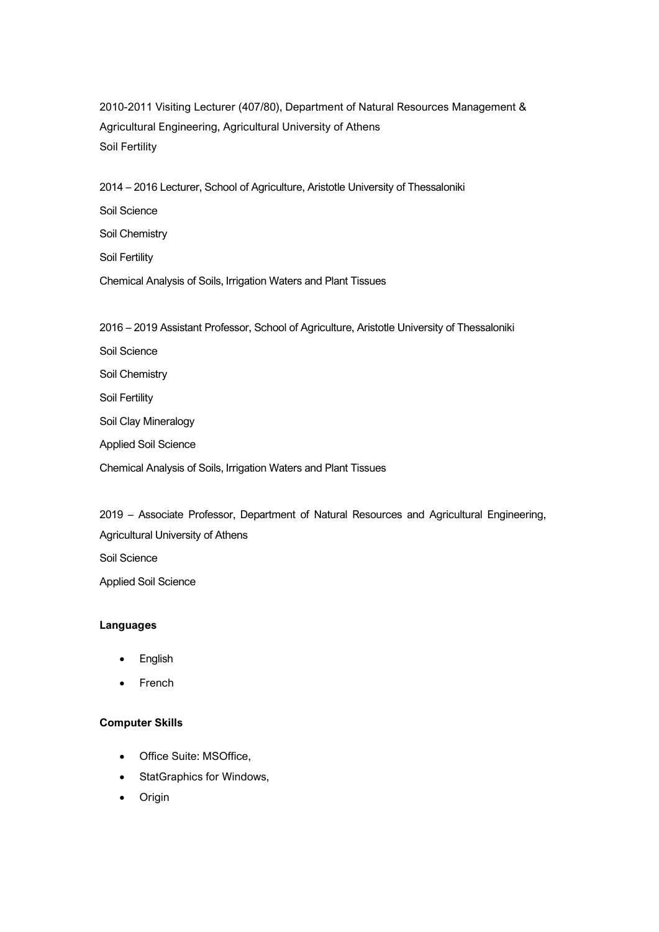2010-2011 Visiting Lecturer (407/80), Department of Natural Resources Management & Agricultural Engineering, Agricultural University of Athens Soil Fertility

2014 – 2016 Lecturer, School of Agriculture, Aristotle University of Thessaloniki Soil Science Soil Chemistry Soil Fertility Chemical Analysis of Soils, Irrigation Waters and Plant Tissues

2016 – 2019 Assistant Professor, School of Agriculture, Aristotle University of Thessaloniki

Soil Science Soil Chemistry Soil Fertility Soil Clay Mineralogy Applied Soil Science Chemical Analysis of Soils, Irrigation Waters and Plant Tissues

2019 – Associate Professor, Department of Natural Resources and Agricultural Engineering, Agricultural University of Athens Soil Science

Applied Soil Science

## **Languages**

- **English**
- **French**

## **Computer Skills**

- Office Suite: MSOffice,
- StatGraphics for Windows,
- Origin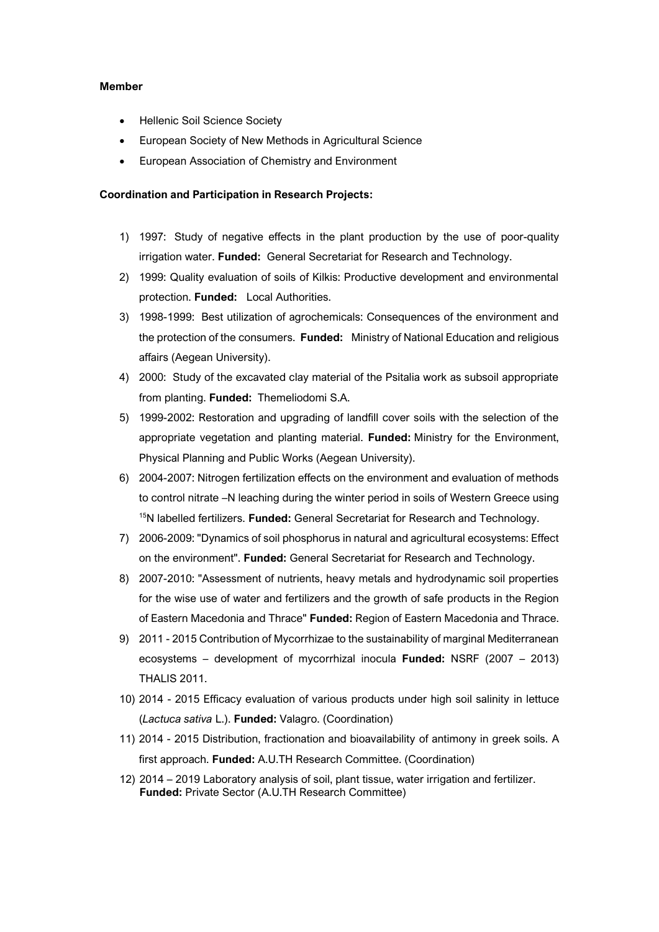#### **Member**

- Hellenic Soil Science Society
- European Society of New Methods in Agricultural Science
- European Association of Chemistry and Environment

#### **Coordination and Participation in Research Projects:**

- 1) 1997: Study of negative effects in the plant production by the use of poor-quality irrigation water. **Funded:** General Secretariat for Research and Technology.
- 2) 1999: Quality evaluation of soils of Kilkis: Productive development and environmental protection. **Funded:** Local Authorities.
- 3) 1998-1999: Best utilization of agrochemicals: Consequences of the environment and the protection of the consumers. **Funded:** Ministry of National Education and religious affairs (Aegean University).
- 4) 2000: Study of the excavated clay material of the Psitalia work as subsoil appropriate from planting. **Funded:** Themeliodomi S.A.
- 5) 1999-2002: Restoration and upgrading of landfill cover soils with the selection of the appropriate vegetation and planting material. **Funded:** Ministry for the Environment, Physical Planning and Public Works (Aegean University).
- 6) 2004-2007: Nitrogen fertilization effects on the environment and evaluation of methods to control nitrate –N leaching during the winter period in soils of Western Greece using <sup>15</sup>N labelled fertilizers. **Funded:** General Secretariat for Research and Technology.
- 7) 2006-2009: "Dynamics of soil phosphorus in natural and agricultural ecosystems: Effect on the environment". **Funded:** General Secretariat for Research and Technology.
- 8) 2007-2010: "Assessment of nutrients, heavy metals and hydrodynamic soil properties for the wise use of water and fertilizers and the growth of safe products in the Region of Eastern Macedonia and Thrace" **Funded:** Region of Eastern Macedonia and Thrace.
- 9) 2011 2015 Contribution of Mycorrhizae to the sustainability of marginal Mediterranean ecosystems – development of mycorrhizal inocula **Funded:** NSRF (2007 – 2013) THALIS 2011.
- 10) 2014 2015 Efficacy evaluation of various products under high soil salinity in lettuce (*Lactuca sativa* L.). **Funded:** Valagro. (Coordination)
- 11) 2014 2015 Distribution, fractionation and bioavailability of antimony in greek soils. A first approach. **Funded:** A.U.TH Research Committee. (Coordination)
- 12) 2014 2019 Laboratory analysis of soil, plant tissue, water irrigation and fertilizer. **Funded:** Private Sector (A.U.TH Research Committee)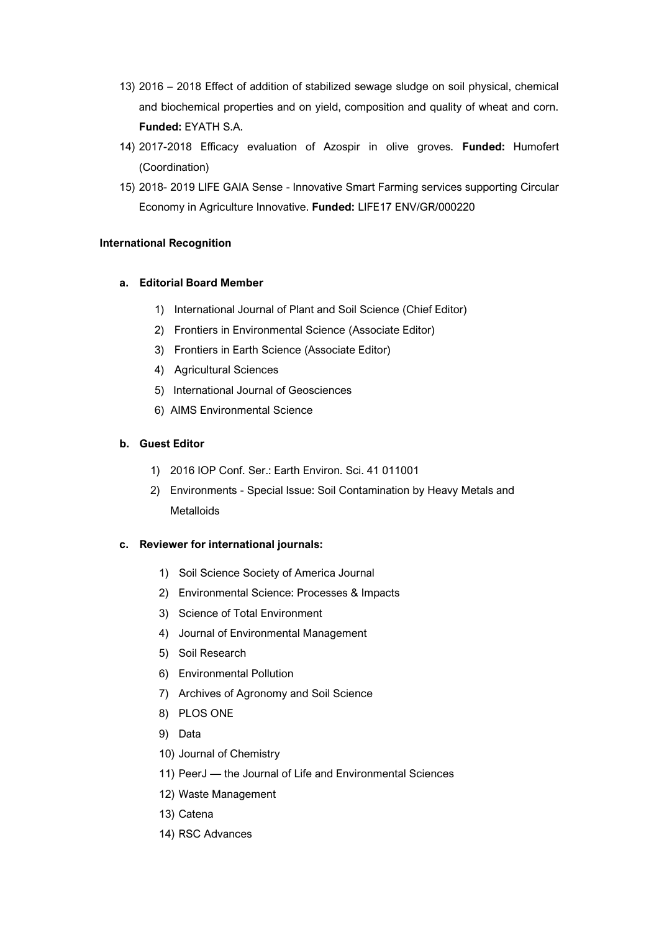- 13) 2016 2018 Effect of addition of stabilized sewage sludge on soil physical, chemical and biochemical properties and on yield, composition and quality of wheat and corn. **Funded:** EYATH S.A.
- 14) 2017-2018 Efficacy evaluation of Azospir in olive groves. **Funded:** Humofert (Coordination)
- 15) 2018- 2019 LIFE GAIA Sense Innovative Smart Farming services supporting Circular Economy in Agriculture Innovative. **Funded:** LIFE17 ENV/GR/000220

# **International Recognition**

# **a. Editorial Board Member**

- 1) International Journal of Plant and Soil Science (Chief Editor)
- 2) Frontiers in Environmental Science (Associate Editor)
- 3) Frontiers in Earth Science (Associate Editor)
- 4) Agricultural Sciences
- 5) International Journal of Geosciences
- 6) AIMS Environmental Science

# **b. Guest Editor**

- 1) 2016 IOP Conf. Ser.: Earth Environ. Sci. 41 011001
- 2) Environments Special Issue: Soil Contamination by Heavy Metals and **Metalloids**

### **c. Reviewer for international journals:**

- 1) Soil Science Society of America Journal
- 2) Environmental Science: Processes & Impacts
- 3) Science of Total Environment
- 4) Journal of Environmental Management
- 5) Soil Research
- 6) Environmental Pollution
- 7) Archives of Agronomy and Soil Science
- 8) PLOS ONE
- 9) Data
- 10) Journal of Chemistry
- 11) PeerJ the Journal of Life and Environmental Sciences
- 12) Waste Management
- 13) Catena
- 14) RSC Advances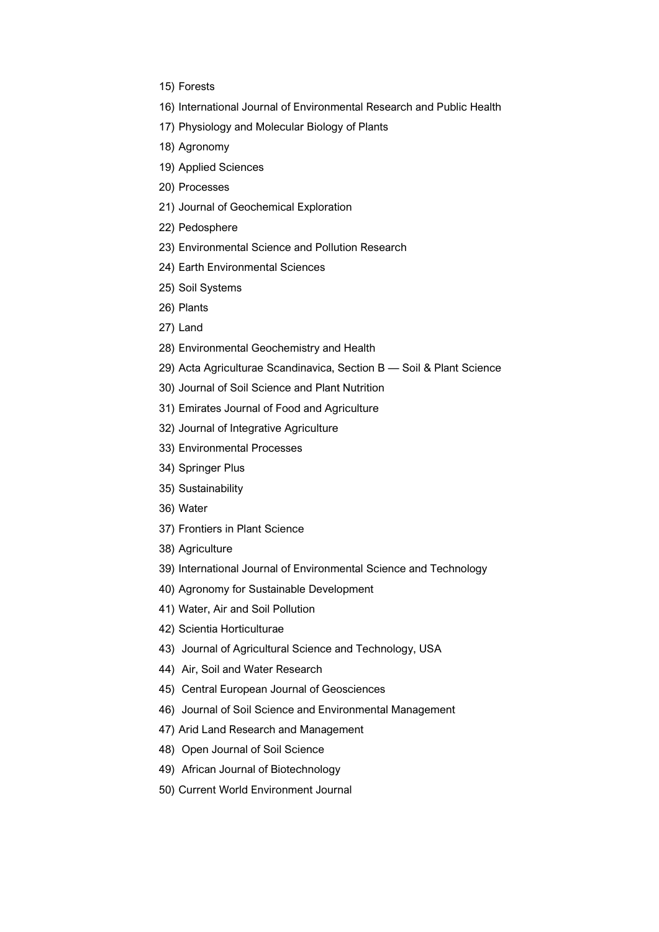- 15) Forests
- 16) International Journal of Environmental Research and Public Health
- 17) Physiology and Molecular Biology of Plants
- 18) Agronomy
- 19) Applied Sciences
- 20) Processes
- 21) Journal of Geochemical Exploration
- 22) Pedosphere
- 23) Environmental Science and Pollution Research
- 24) Earth Environmental Sciences
- 25) Soil Systems
- 26) Plants
- 27) Land
- 28) Environmental Geochemistry and Health
- 29) Acta Agriculturae Scandinavica, Section B Soil & Plant Science
- 30) Journal of Soil Science and Plant Nutrition
- 31) Emirates Journal of Food and Agriculture
- 32) Journal of Integrative Agriculture
- 33) Environmental Processes
- 34) Springer Plus
- 35) Sustainability
- 36) Water
- 37) Frontiers in Plant Science
- 38) Agriculture
- 39) International Journal of Environmental Science and Technology
- 40) Agronomy for Sustainable Development
- 41) Water, Air and Soil Pollution
- 42) Scientia Horticulturae
- 43) Journal of Agricultural Science and Technology, USA
- 44) Air, Soil and Water Research
- 45) Central European Journal of Geosciences
- 46) Journal of Soil Science and Environmental Management
- 47) Arid Land Research and Management
- 48) Open Journal of Soil Science
- 49) African Journal of Biotechnology
- 50) Current World Environment Journal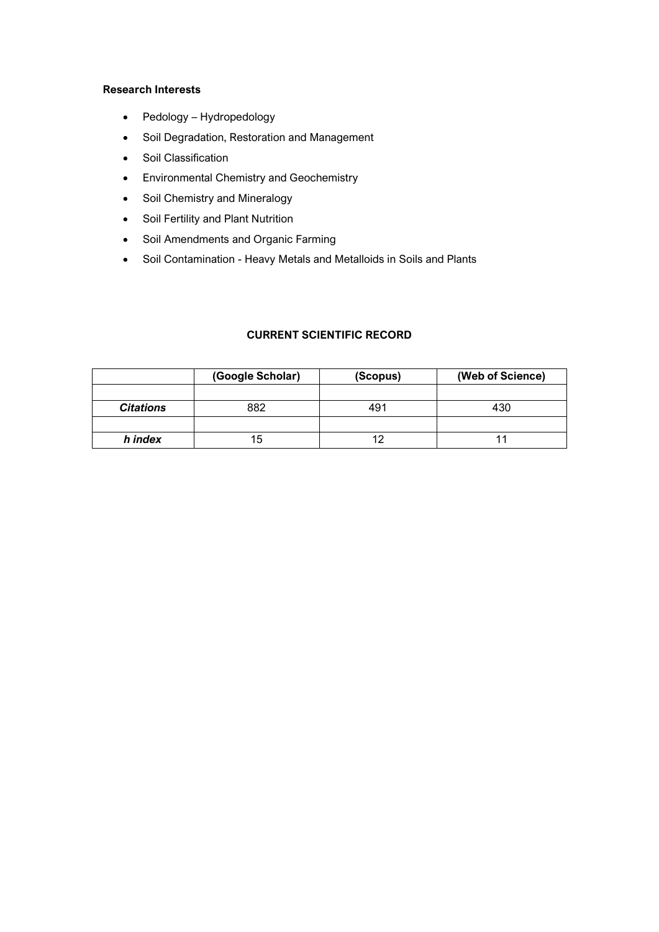#### **Research Interests**

- Pedology Hydropedology
- Soil Degradation, Restoration and Management
- Soil Classification
- Environmental Chemistry and Geochemistry
- Soil Chemistry and Mineralogy
- Soil Fertility and Plant Nutrition
- Soil Amendments and Organic Farming
- Soil Contamination Heavy Metals and Metalloids in Soils and Plants

# **CURRENT SCIENTIFIC RECORD**

|                  | (Google Scholar) | (Scopus) | (Web of Science) |
|------------------|------------------|----------|------------------|
|                  |                  |          |                  |
| <b>Citations</b> | 882              | 491      | 430              |
|                  |                  |          |                  |
| h index          | 15               |          | 11               |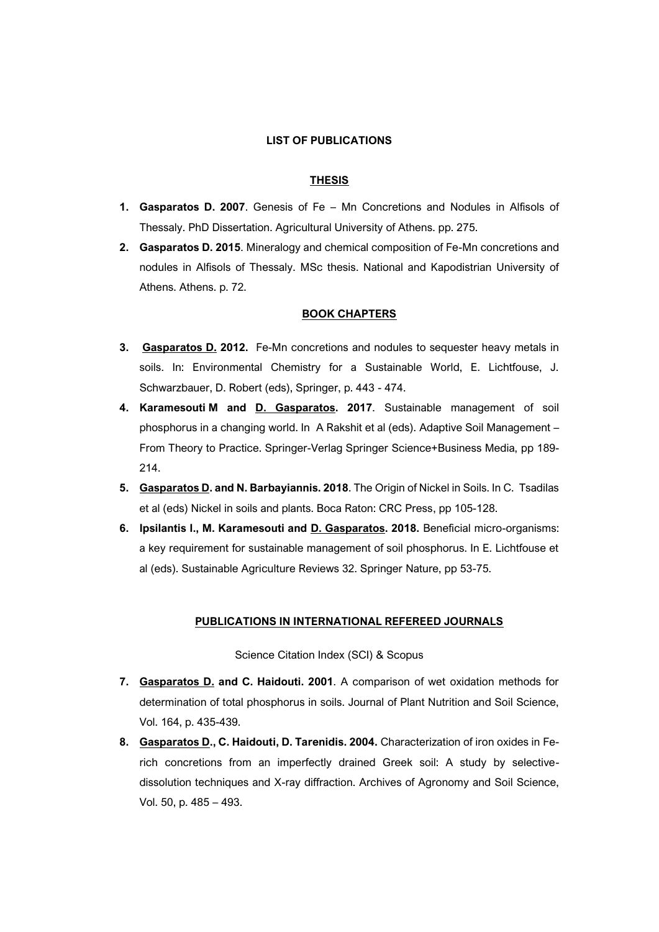#### **LIST OF PUBLICATIONS**

#### **THESIS**

- **1. Gasparatos D. 2007**. Genesis of Fe Mn Concretions and Nodules in Alfisols of Thessaly. PhD Dissertation. Agricultural University of Athens. pp. 275.
- **2. Gasparatos D. 2015**. Mineralogy and chemical composition of Fe-Mn concretions and nodules in Alfisols of Thessaly. MSc thesis. National and Kapodistrian University of Athens. Athens. p. 72.

#### **BOOK CHAPTERS**

- **3. Gasparatos D. 2012.** Fe-Mn concretions and nodules to sequester heavy metals in soils. In: Environmental Chemistry for a Sustainable World, E. Lichtfouse, J. Schwarzbauer, D. Robert (eds), Springer, p. 443 - 474.
- **4. Karamesouti M and D. Gasparatos. 2017**. Sustainable management of soil phosphorus in a changing world. In A Rakshit et al (eds). Adaptive Soil Management – From Theory to Practice. Springer-Verlag Springer Science+Business Media, pp 189- 214.
- **5. Gasparatos D. and N. Barbayiannis. 2018**. The Origin of Nickel in Soils. In C. Tsadilas et al (eds) Nickel in soils and plants. Boca Raton: CRC Press, pp 105-128.
- **6. Ipsilantis I., M. Karamesouti and D. Gasparatos. 2018.** Beneficial micro-organisms: a key requirement for sustainable management of soil phosphorus. In E. Lichtfouse et al (eds). Sustainable Agriculture Reviews 32. Springer Nature, pp 53-75.

#### **PUBLICATIONS IN INTERNATIONAL REFEREED JOURNALS**

Science Citation Index (SCI) & Scopus

- **7. Gasparatos D. and C. Haidouti. 2001**. A comparison of wet oxidation methods for determination of total phosphorus in soils. Journal of Plant Nutrition and Soil Science, Vol. 164, p. 435-439.
- **8. Gasparatos D., C. Haidouti, D. Tarenidis. 2004.** Characterization of iron oxides in Ferich concretions from an imperfectly drained Greek soil: A study by selectivedissolution techniques and X-ray diffraction. Archives of Agronomy and Soil Science, Vol. 50, p. 485 – 493.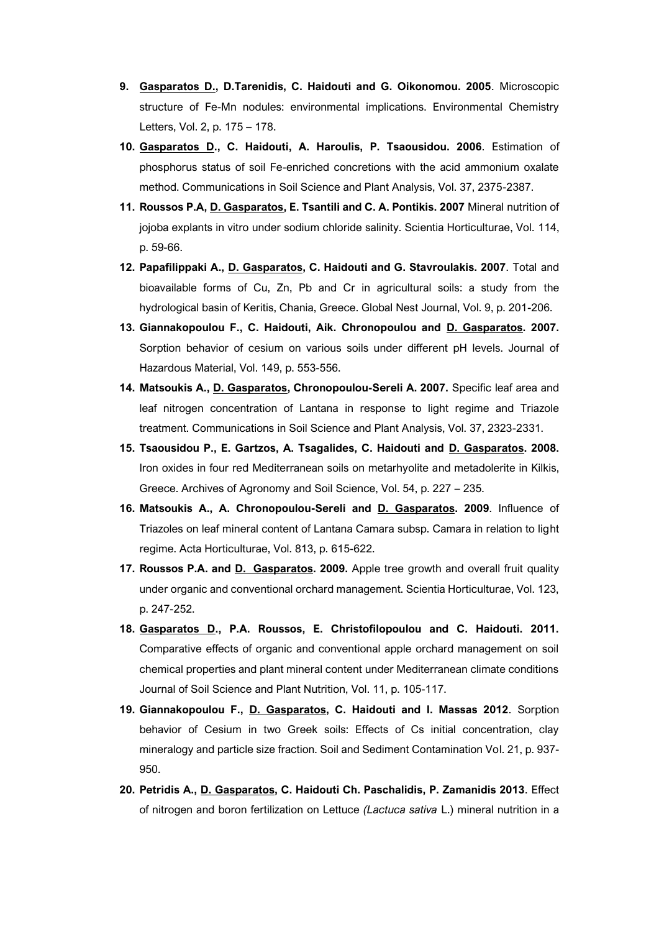- **9. Gasparatos D., D.Tarenidis, C. Haidouti and G. Oikonomou. 2005**. Microscopic structure of Fe-Mn nodules: environmental implications. Environmental Chemistry Letters, Vol. 2, p. 175 – 178.
- **10. Gasparatos D., C. Haidouti, A. Haroulis, P. Tsaousidou. 2006**. Estimation of phosphorus status of soil Fe-enriched concretions with the acid ammonium oxalate method. Cοmmunications in Soil Science and Plant Analysis, Vol. 37, 2375-2387.
- **11. Roussos P.A, D. Gasparatos, E. Tsantili and C. A. Pontikis. 2007** Mineral nutrition of jojoba explants in vitro under sodium chloride salinity. Scientia Horticulturae, Vol. 114, p. 59-66.
- **12. Papafilippaki A., D. Gasparatos, C. Haidouti and G. Stavroulakis. 2007**. Total and bioavailable forms of Cu, Zn, Pb and Cr in agricultural soils: a study from the hydrological basin of Keritis, Chania, Greece. Global Nest Journal, Vol. 9, p. 201-206.
- **13. Giannakopoulou F., C. Haidouti, Aik. Chronopoulou and D. Gasparatos. 2007.** Sorption behavior of cesium on various soils under different pH levels. Journal of Hazardous Material, Vol. 149, p. 553-556.
- **14. Matsoukis A., D. Gasparatos, Chronopoulou-Sereli A. 2007.** Specific leaf area and leaf nitrogen concentration of Lantana in response to light regime and Triazole treatment. Cοmmunications in Soil Science and Plant Analysis, Vol. 37, 2323-2331.
- **15. Tsaousidou P., E. Gartzos, A. Tsagalides, C. Haidouti and D. Gasparatos. 2008.** Iron oxides in four red Mediterranean soils on metarhyolite and metadolerite in Kilkis, Greece. Archives of Agronomy and Soil Science, Vol. 54, p. 227 – 235.
- **16. Matsoukis A., A. Chronopoulou-Sereli and D. Gasparatos. 2009**. Influence of Triazoles on leaf mineral content of Lantana Camara subsp. Camara in relation to light regime. Acta Horticulturae, Vol. 813, p. 615-622.
- **17. Roussos P.A. and D. Gasparatos. 2009.** Apple tree growth and overall fruit quality under organic and conventional orchard management. Scientia Horticulturae, Vol. 123, p. 247-252.
- **18. Gasparatos D., P.A. Roussos, E. Christofilopoulou and C. Haidouti. 2011.** Comparative effects of organic and conventional apple orchard management on soil chemical properties and plant mineral content under Mediterranean climate conditions Journal of Soil Science and Plant Nutrition, Vol. 11, p. 105-117.
- **19. Giannakopoulou F., D. Gasparatos, C. Haidouti and I. Massas 2012**. Sorption behavior of Cesium in two Greek soils: Effects of Cs initial concentration, clay mineralogy and particle size fraction. Soil and Sediment Contamination Vol. 21, p. 937- 950.
- **20. Petridis A., D. Gasparatos, C. Haidouti Ch. Paschalidis, P. Zamanidis 2013**. Effect of nitrogen and boron fertilization on Lettuce *(Lactuca sativa* L.) mineral nutrition in a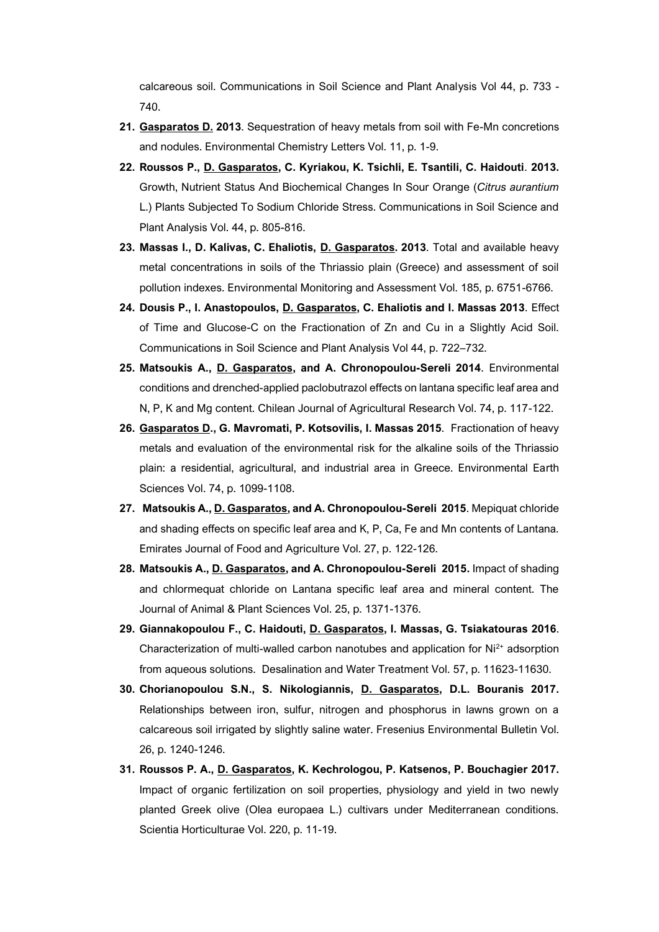calcareous soil. Cοmmunications in Soil Science and Plant Analysis Vol 44, p. 733 - 740.

- **21. Gasparatos D. 2013**. Sequestration of heavy metals from soil with Fe-Mn concretions and nodules. Environmental Chemistry Letters Vol. 11, p. 1-9.
- **22. Roussos P., D. Gasparatos, C. Kyriakou, K. Tsichli, E. Tsantili, C. Haidouti**. **2013.** Growth, Nutrient Status And Biochemical Changes In Sour Orange (*Citrus aurantium* L.) Plants Subjected To Sodium Chloride Stress. Cοmmunications in Soil Science and Plant Analysis Vol. 44, p. 805-816.
- **23. Massas I., D. Kalivas, C. Ehaliotis, D. Gasparatos. 2013**. Total and available heavy metal concentrations in soils of the Thriassio plain (Greece) and assessment of soil pollution indexes. Environmental Monitoring and Assessment Vol. 185, p. 6751-6766.
- **24. Dousis P., I. Anastopoulos, D. Gasparatos, C. Ehaliotis and I. Massas 2013**. Effect of Time and Glucose-C on the Fractionation of Zn and Cu in a Slightly Acid Soil. Communications in Soil Science and Plant Analysis Vol 44, p. 722–732.
- **25. Matsoukis A., D. Gasparatos, and A. Chronopoulou-Sereli 2014**. Environmental conditions and drenched-applied paclobutrazol effects on lantana specific leaf area and N, P, K and Mg content. Chilean Journal of Agricultural Research Vol. 74, p. 117-122.
- **26. Gasparatos D., G. Mavromati, P. Kotsovilis, [I. Massas](https://www.researchgate.net/researcher/9491162_Ioannis_Massas) 2015**. Fractionation of heavy metals and evaluation of the environmental risk for the alkaline soils of the Thriassio plain: a residential, agricultural, and industrial area in Greece. Environmental Earth Sciences Vol. 74, p. 1099-1108.
- **27. Matsoukis A., D. Gasparatos, and A. Chronopoulou-Sereli 2015**. Mepiquat chloride and shading effects on specific leaf area and K, P, Ca, Fe and Mn contents of Lantana. Emirates Journal of Food and Agriculture Vol. 27, p. 122-126.
- **28. Matsoukis A., D. Gasparatos, and A. Chronopoulou-Sereli 2015.** Impact of shading and chlormequat chloride on Lantana specific leaf area and mineral content. The Journal of Animal & Plant Sciences Vol. 25, p. 1371-1376.
- **29. [Giannakopoulou](https://www.researchgate.net/researcher/13926029_Foteini_Giannakopoulou) F., [C. Haidouti,](https://www.researchgate.net/researcher/9491160_Constantina_Haidouti) D. Gasparatos, [I. Massas,](https://www.researchgate.net/researcher/9491162_Ioannis_Massas) [G. Tsiakatouras](https://www.researchgate.net/researcher/2073078799_George_Tsiakatoura) 2016**. Characterization of multi-walled carbon nanotubes and application for  $Ni<sup>2+</sup>$  adsorption from aqueous solutions. Desalination and Water Treatment Vol. 57, p. 11623-11630.
- **30. Chorianopoulou S.N., S. Nikologiannis, D. Gasparatos, D.L. Bouranis 2017.** Relationships between iron, sulfur, nitrogen and phosphorus in lawns grown on a calcareous soil irrigated by slightly saline water. Fresenius Environmental Bulletin Vol. 26, p. 1240-1246.
- **31. Roussos P. A., D. Gasparatos, K. Kechrologou, P. Katsenos, P. Bouchagier 2017.** Impact of organic fertilization on soil properties, physiology and yield in two newly planted Greek olive (Olea europaea L.) cultivars under Mediterranean conditions. Scientia Horticulturae Vol. 220, p. 11-19.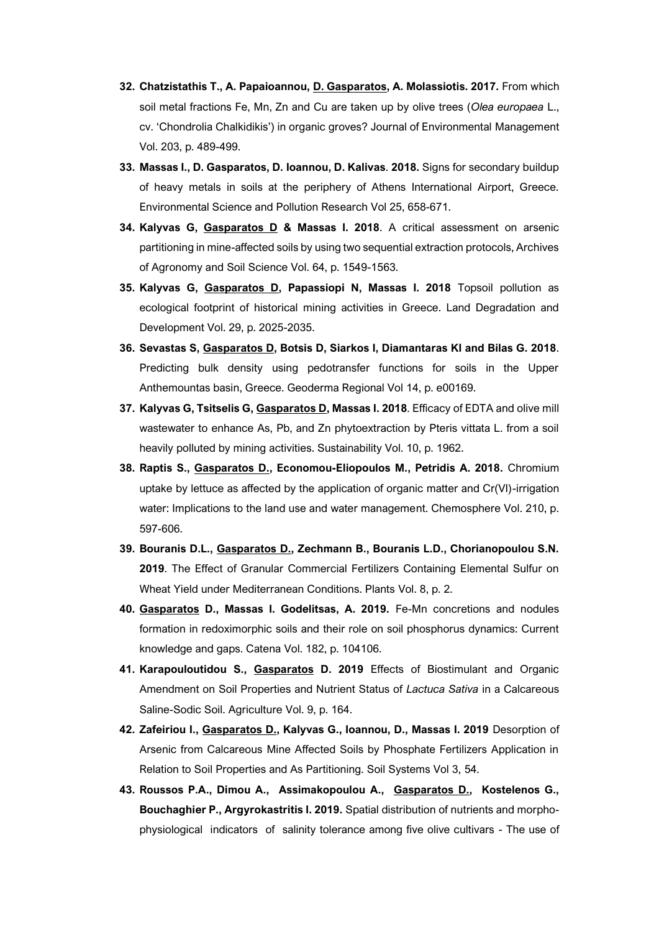- **32. Chatzistathis T., A. Papaioannou, D. Gasparatos, A. Molassiotis. 2017.** From which soil metal fractions Fe, Mn, Zn and Cu are taken up by olive trees (*Olea europaea* L., cv. 'Chondrolia Chalkidikis') in organic groves? Journal of Environmental Management Vol. 203, p. 489-499.
- **33. Massas I., D. Gasparatos, D. Ioannou, D. Kalivas**. **2018.** Signs for secondary buildup of heavy metals in soils at the periphery of Athens International Airport, Greece. Environmental Science and Pollution Research Vol 25, 658-671.
- **34. Kalyvas G, Gasparatos D & Massas I. 2018**. A critical assessment on arsenic partitioning in mine-affected soils by using two sequential extraction protocols, Archives of Agronomy and Soil Science Vol. 64, p. 1549-1563.
- **35. Kalyvas G, Gasparatos D, Papassiopi N, Massas I. 2018** Topsoil pollution as ecological footprint of historical mining activities in Greece. Land Degradation and Development Vol. 29, p. 2025-2035.
- **36. Sevastas S, Gasparatos D, Botsis D, Siarkos I, Diamantaras KI and Bilas G. 2018**. Predicting bulk density using pedotransfer functions for soils in the Upper Anthemountas basin, Greece. Geoderma Regional Vol 14, p. e00169.
- **37. Kalyvas G, Tsitselis G, Gasparatos D, Massas I. 2018**. Efficacy of EDTA and olive mill wastewater to enhance As, Pb, and Zn phytoextraction by Pteris vittata L. from a soil heavily polluted by mining activities. Sustainability Vol. 10, p. 1962.
- **38. Raptis S., Gasparatos D., Economou-Eliopoulos M., Petridis A. 2018.** Chromium uptake by lettuce as affected by the application of organic matter and Cr(VI)-irrigation water: Implications to the land use and water management. Chemosphere Vol. 210, p. 597-606.
- **39. Bouranis D.L., Gasparatos D., Zechmann B., Bouranis L.D., Chorianopoulou S.N. 2019**. The Effect of Granular Commercial Fertilizers Containing Elemental Sulfur on Wheat Yield under Mediterranean Conditions. Plants Vol. 8, p. 2.
- **40. Gasparatos D., Massas I. Godelitsas, A. 2019.** Fe-Mn concretions and nodules formation in redoximorphic soils and their role on soil phosphorus dynamics: Current knowledge and gaps. Catena Vol. 182, p. 104106.
- **41. Karapouloutidou S., Gasparatos D. 2019** Effects of Biostimulant and Organic Amendment on Soil Properties and Nutrient Status of *Lactuca Sativa* in a Calcareous Saline-Sodic Soil. Agriculture Vol. 9, p. 164.
- **42. Zafeiriou I., Gasparatos D., Kalyvas G., Ioannou, D., Massas I. 2019** Desorption of Arsenic from Calcareous Mine Affected Soils by Phosphate Fertilizers Application in Relation to Soil Properties and As Partitioning. Soil Systems Vol 3, 54.
- **43. Roussos P.A., Dimou A., Assimakopoulou A., Gasparatos D., Kostelenos G., Bouchaghier P., Argyrokastritis I. 2019.** Spatial distribution of nutrients and morphophysiological indicators of salinity tolerance among five olive cultivars - The use of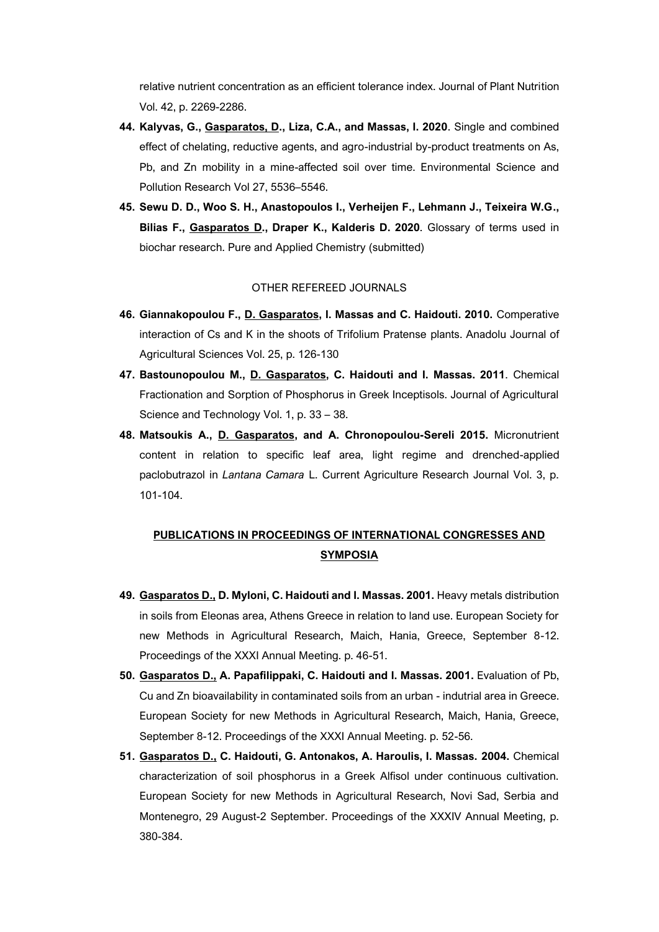relative nutrient concentration as an efficient tolerance index. Journal of Plant Nutrition Vol. 42, p. 2269-2286.

- **44. Kalyvas, G., Gasparatos, D., Liza, C.A., and Massas, I. 2020**. Single and combined effect of chelating, reductive agents, and agro-industrial by-product treatments on As, Pb, and Zn mobility in a mine-affected soil over time. Environmental Science and Pollution Research Vol 27, 5536–5546.
- **45. Sewu D. D., Woo S. H., Anastopoulos I., Verheijen F., Lehmann J., Teixeira W.G., Bilias F., Gasparatos D., Draper K., Kalderis D. 2020**. Glossary of terms used in biochar research. Pure and Applied Chemistry (submitted)

#### OTHER REFEREED JOURNALS

- **46. Giannakopoulou F., D. Gasparatos, I. Massas and C. Haidouti. 2010.** Comperative interaction of Cs and K in the shoots of Trifolium Pratense plants. Anadolu Journal of Agricultural Sciences Vol. 25, p. 126-130
- **47. Bastounopoulou M., D. Gasparatos, C. Haidouti and I. Massas. 2011**. Chemical Fractionation and Sorption of Phosphorus in Greek Inceptisols. Journal of Agricultural Science and Technology Vol. 1, p. 33 – 38.
- **48. Matsoukis A., D. Gasparatos, and A. Chronopoulou-Sereli 2015.** Micronutrient content in relation to specific leaf area, light regime and drenched-applied paclobutrazol in *Lantana Camara* L. Current Agriculture Research Journal Vol. 3, p. 101-104.

# **PUBLICATIONS IN PROCEEDINGS OF INTERNATIONAL CONGRESSES AND SYMPOSIA**

- **49. Gasparatos D., D. Myloni, C. Haidouti and I. Massas. 2001.** Heavy metals distribution in soils from Eleonas area, Athens Greece in relation to land use. European Society for new Methods in Agricultural Research, Maich, Hania, Greece, September 8-12. Proceedings of the XXXI Annual Meeting. p. 46-51.
- **50. Gasparatos D., A. Papafilippaki, C. Haidouti and I. Massas. 2001.** Evaluation of Pb, Cu and Zn bioavailability in contaminated soils from an urban - indutrial area in Greece. European Society for new Methods in Agricultural Research, Maich, Hania, Greece, September 8-12. Proceedings of the XXXI Annual Meeting. p. 52-56.
- **51. Gasparatos D., C. Haidouti, G. Antonakos, A. Haroulis, I. Massas. 2004.** Chemical characterization of soil phosphorus in a Greek Alfisol under continuous cultivation. European Society for new Methods in Agricultural Research, Novi Sad, Serbia and Montenegro, 29 August-2 September. Proceedings of the XXXIV Annual Meeting, p. 380-384.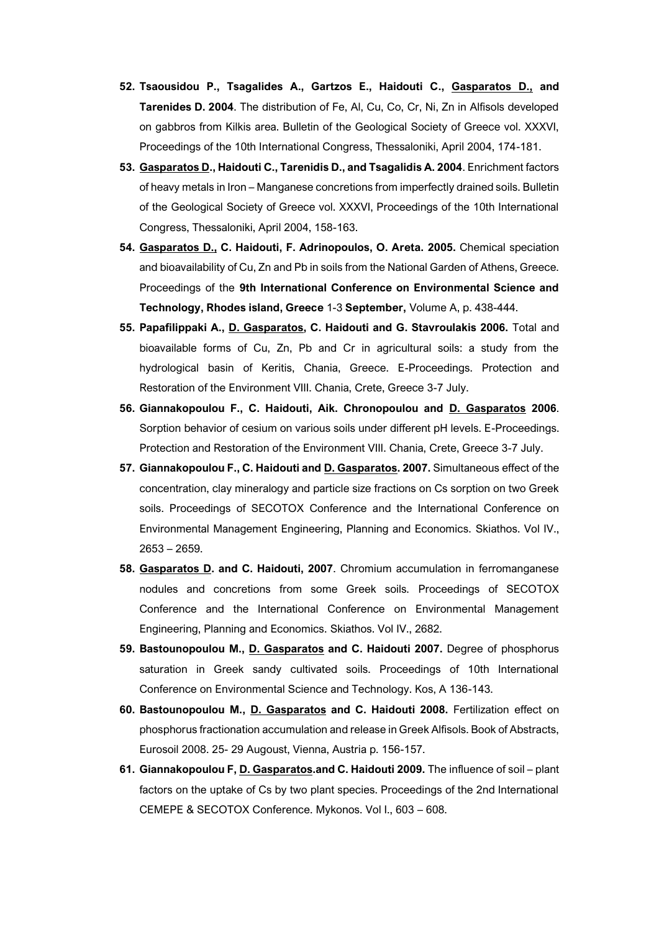- **52. Tsaousidou P., Tsagalides A., Gartzos E., Haidouti C., Gasparatos D., and Tarenides D. 2004**. The distribution of Fe, Al, Cu, Co, Cr, Ni, Zn in Alfisols developed on gabbros from Kilkis area. Bulletin of the Geological Society of Greece vol. XXXVI, Proceedings of the 10th International Congress, Thessaloniki, April 2004, 174-181.
- **53. Gasparatos D., Haidouti C., Tarenidis D., and Tsagalidis A. 2004**. Enrichment factors of heavy metals in Iron – Manganese concretions from imperfectly drained soils. Bulletin of the Geological Society of Greece vol. XXXVI, Proceedings of the 10th International Congress, Thessaloniki, April 2004, 158-163.
- **54. Gasparatos D., C. Haidouti, F. Adrinopoulos, O. Areta. 2005.** Chemical speciation and bioavailability of Cu, Zn and Pb in soils from the National Garden of Athens, Greece. Proceedings of the **9th International Conference on Environmental Science and Technology, Rhodes island, Greece** 1-3 **September,** Volume A, p. 438-444.
- **55. Papafilippaki A., D. Gasparatos, C. Haidouti and G. Stavroulakis 2006.** Total and bioavailable forms of Cu, Zn, Pb and Cr in agricultural soils: a study from the hydrological basin of Keritis, Chania, Greece. E-Proceedings. Protection and Restoration of the Environment VIII. Chania, Crete, Greece 3-7 July.
- **56. Giannakopoulou F., C. Haidouti, Aik. Chronopoulou and D. Gasparatos 2006**. Sorption behavior of cesium on various soils under different pH levels. E-Proceedings. Protection and Restoration of the Environment VIII. Chania, Crete, Greece 3-7 July.
- **57. Giannakopoulou F., C. Haidouti and D. Gasparatos. 2007.** Simultaneous effect of the concentration, clay mineralogy and particle size fractions on Cs sorption on two Greek soils. Proceedings of SECOTOX Conference and the International Conference on Environmental Management Engineering, Planning and Economics. Skiathos. Vol IV., 2653 – 2659.
- **58. Gasparatos D. and C. Haidouti, 2007**. Chromium accumulation in ferromanganese nodules and concretions from some Greek soils. Proceedings of SECOTOX Conference and the International Conference on Environmental Management Engineering, Planning and Economics. Skiathos. Vol IV., 2682.
- **59. Bastounopoulou M., D. Gasparatos and C. Haidouti 2007.** Degree of phosphorus saturation in Greek sandy cultivated soils. Proceedings of 10th International Conference on Environmental Science and Technology. Kos, A 136-143.
- **60. Bastounopoulou M., D. Gasparatos and C. Haidouti 2008.** Fertilization effect on phosphorus fractionation accumulation and release in Greek Alfisols. Book of Abstracts, Eurosoil 2008. 25- 29 Augoust, Vienna, Austria p. 156-157.
- **61. Giannakopoulou F, D. Gasparatos.and C. Haidouti 2009.** The influence of soil plant factors on the uptake of Cs by two plant species. Proceedings of the 2nd International CEMEPE & SECOTOX Conference. Mykonos. Vol I., 603 – 608.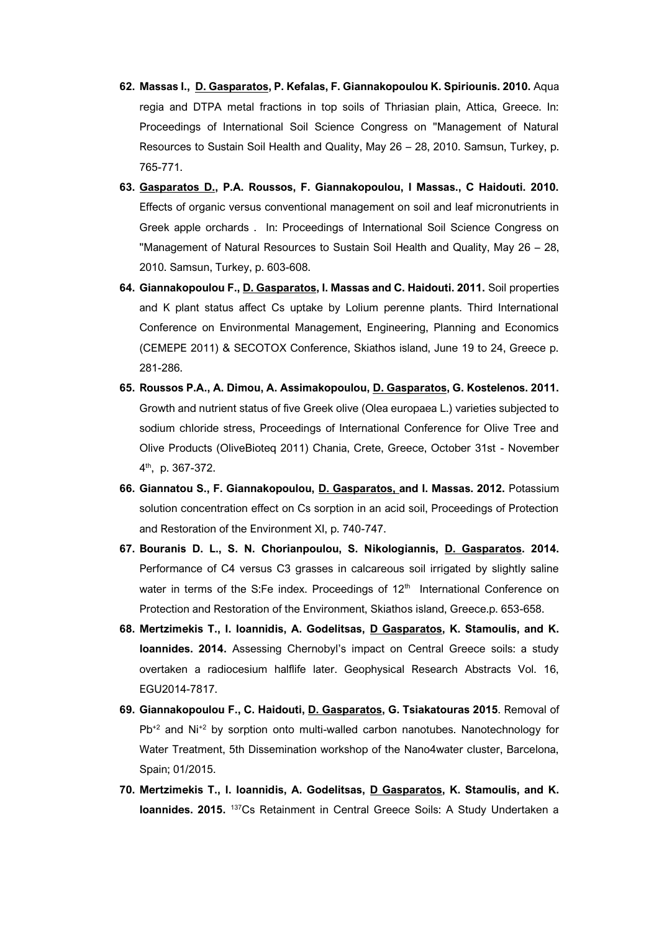- **62. Massas I., D. Gasparatos, P. Kefalas, F. Giannakopoulou K. Spiriounis. 2010.** Aqua regia and DTPA metal fractions in top soils of Thriasian plain, Attica, Greece. In: Proceedings of International Soil Science Congress on ''Management of Natural Resources to Sustain Soil Health and Quality, May 26 – 28, 2010. Samsun, Turkey, p. 765-771.
- **63. Gasparatos D., P.A. Roussos, F. Giannakopoulou, I Massas., C Haidouti. 2010.**  Effects of organic versus conventional management on soil and leaf micronutrients in Greek apple orchards . In: Proceedings of International Soil Science Congress on ''Management of Natural Resources to Sustain Soil Health and Quality, May 26 – 28, 2010. Samsun, Turkey, p. 603-608.
- **64. Giannakopoulou F., D. Gasparatos, I. Massas and C. Haidouti. 2011.** Soil properties and K plant status affect Cs uptake by Lolium perenne plants. Third International Conference on Environmental Management, Engineering, Planning and Economics (CEMEPE 2011) & SECOTOX Conference, Skiathos island, June 19 to 24, Greece p. 281-286.
- **65. Roussos P.A., A. Dimou, A. Assimakopoulou, D. Gasparatos, G. Kostelenos. 2011.** Growth and nutrient status of five Greek olive (Olea europaea L.) varieties subjected to sodium chloride stress, Proceedings of International Conference for Olive Tree and Olive Products (OliveBioteq 2011) Chania, Crete, Greece, October 31st - November 4 th, p. 367-372.
- **66. Giannatou S., F. Giannakopoulou, D. Gasparatos, and I. Massas. 2012.** Potassium solution concentration effect on Cs sorption in an acid soil, Proceedings of Protection and Restoration of the Environment XI, p. 740-747.
- **67. Bouranis D. L., S. N. Chorianpoulou, S. Nikologiannis, D. Gasparatos. 2014.** Performance of C4 versus C3 grasses in calcareous soil irrigated by slightly saline water in terms of the S:Fe index. Proceedings of  $12<sup>th</sup>$  International Conference on Protection and Restoration of the Environment, Skiathos island, Greece.p. 653-658.
- **68. Mertzimekis T., I. Ioannidis, A. Godelitsas, D Gasparatos, K. Stamoulis, and K. Ioannides. 2014.** Assessing Chernobyl's impact on Central Greece soils: a study overtaken a radiocesium halflife later. Geophysical Research Abstracts Vol. 16, EGU2014-7817.
- **69. [Giannakopoulou](https://www.researchgate.net/researcher/13926029_F_Giannakopoulou) F., [C. Haidouti,](https://www.researchgate.net/researcher/9491160_C_Haidouti) D. Gasparatos[, G. Tsiakatouras](https://www.researchgate.net/researcher/2055706513_G_Tsiakatouras) 2015**. Removal of Pb<sup>+2</sup> and Ni<sup>+2</sup> by sorption onto multi-walled carbon nanotubes. Nanotechnology for Water Treatment, 5th Dissemination workshop of the Nano4water cluster, Barcelona, Spain; 01/2015.
- **70. Mertzimekis T., I. Ioannidis, A. Godelitsas, D Gasparatos, K. Stamoulis, and K. Ioannides. 2015.** <sup>137</sup>Cs Retainment in Central Greece Soils: A Study Undertaken a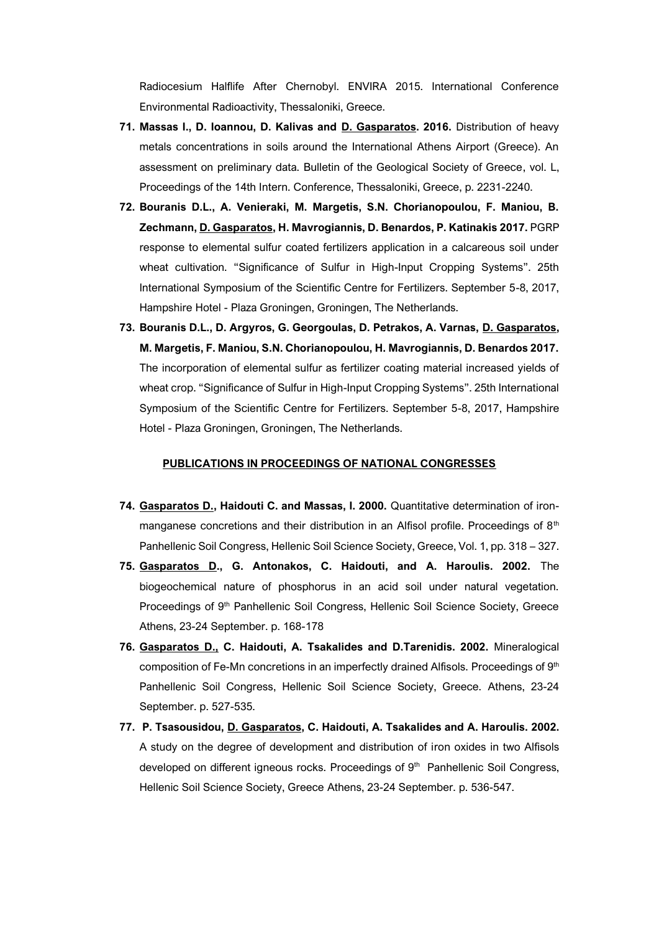Radiocesium Halflife After Chernobyl. ENVIRA 2015. International Conference Environmental Radioactivity, Thessaloniki, Greece.

- **71. Massas I., D. Ioannou, D. Kalivas and D. Gasparatos. 2016.** Distribution of heavy metals concentrations in soils around the International Athens Airport (Greece). An assessment on preliminary data. Bulletin of the Geological Society of Greece, vol. L, Proceedings of the 14th Intern. Conference, Thessaloniki, Greece, p. 2231-2240.
- **72. Bouranis D.L., A. Venieraki, M. Margetis, S.N. Chorianopoulou, F. Maniou, B. Zechmann, D. Gasparatos, H. Mavrogiannis, D. Benardos, P. Katinakis 2017.** PGRP response to elemental sulfur coated fertilizers application in a calcareous soil under wheat cultivation. "Significance of Sulfur in High-Input Cropping Systems". 25th International Symposium of the Scientific Centre for Fertilizers. September 5-8, 2017, Hampshire Hotel - Plaza Groningen, Groningen, The Netherlands.
- **73. Bouranis D.L., D. Argyros, G. Georgoulas, D. Petrakos, A. Varnas, D. Gasparatos, M. Margetis, F. Maniou, S.N. Chorianopoulou, H. Mavrogiannis, D. Benardos 2017.**  The incorporation of elemental sulfur as fertilizer coating material increased yields of wheat crop. "Significance of Sulfur in High-Input Cropping Systems". 25th International Symposium of the Scientific Centre for Fertilizers. September 5-8, 2017, Hampshire Hotel - Plaza Groningen, Groningen, The Netherlands.

#### **PUBLICATIONS IN PROCEEDINGS OF NATIONAL CONGRESSES**

- **74. Gasparatos D., Haidouti C. and Massas, I. 2000.** Quantitative determination of ironmanganese concretions and their distribution in an Alfisol profile. Proceedings of  $8<sup>th</sup>$ Panhellenic Soil Congress, Hellenic Soil Science Society, Greece, Vol. 1, pp. 318 – 327.
- **75. Gasparatos D., G. Antonakos, C. Haidouti, and A. Haroulis. 2002.** The biogeochemical nature of phosphorus in an acid soil under natural vegetation. Proceedings of 9<sup>th</sup> Panhellenic Soil Congress, Hellenic Soil Science Society, Greece Athens, 23-24 September. p. 168-178
- **76. Gasparatos D., C. Haidouti, A. Tsakalides and D.Tarenidis. 2002.** Mineralogical composition of Fe-Mn concretions in an imperfectly drained Alfisols. Proceedings of 9th Panhellenic Soil Congress, Hellenic Soil Science Society, Greece. Athens, 23-24 September. p. 527-535.
- **77. P. Tsasousidou, D. Gasparatos, C. Haidouti, A. Tsakalides and A. Haroulis. 2002.**  A study on the degree of development and distribution of iron oxides in two Alfisols developed on different igneous rocks. Proceedings of 9<sup>th</sup> Panhellenic Soil Congress, Hellenic Soil Science Society, Greece Athens, 23-24 September. p. 536-547.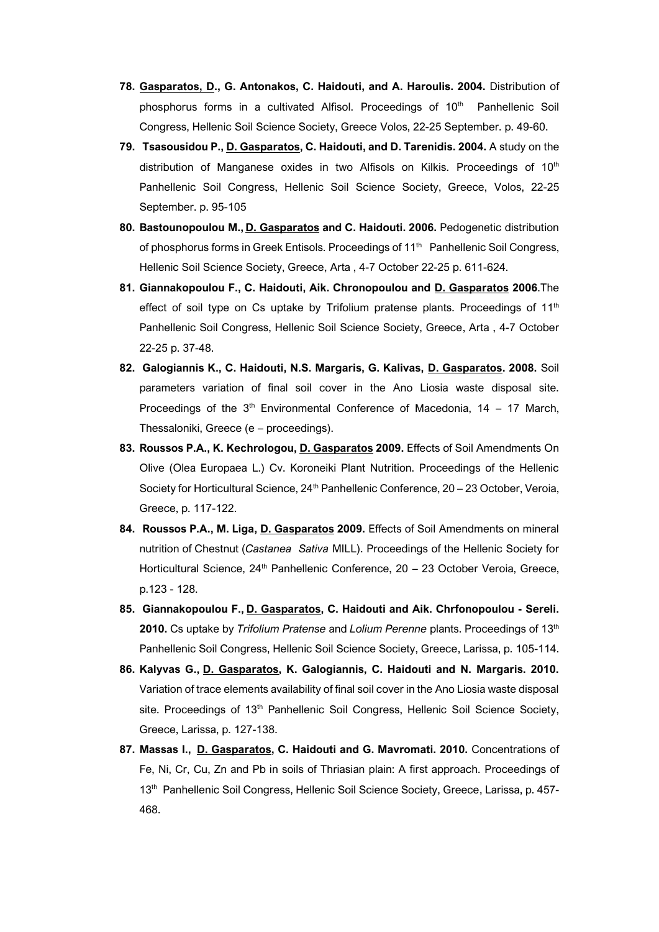- **78. Gasparatos, D., G. Antonakos, C. Haidouti, and A. Haroulis. 2004.** Distribution of phosphorus forms in a cultivated Alfisol. Proceedings of 10<sup>th</sup> Panhellenic Soil Congress, Hellenic Soil Science Society, Greece Volos, 22-25 September. p. 49-60.
- **79. Tsasousidou P., D. Gasparatos, C. Haidouti, and D. Tarenidis. 2004.** A study on the distribution of Manganese oxides in two Alfisols on Kilkis. Proceedings of  $10<sup>th</sup>$ Panhellenic Soil Congress, Hellenic Soil Science Society, Greece, Volos, 22-25 September. p. 95-105
- **80. Bastounopoulou M., D. Gasparatos and C. Haidouti. 2006.** Pedogenetic distribution of phosphorus forms in Greek Entisols. Proceedings of 11<sup>th</sup> Panhellenic Soil Congress, Hellenic Soil Science Society, Greece, Arta , 4-7 October 22-25 p. 611-624.
- **81. Giannakopoulou F., C. Haidouti, Aik. Chronopoulou and D. Gasparatos 2006**.The effect of soil type on Cs uptake by Trifolium pratense plants. Proceedings of  $11<sup>th</sup>$ Panhellenic Soil Congress, Hellenic Soil Science Society, Greece, Arta , 4-7 October 22-25 p. 37-48.
- **82. Galogiannis K., C. Haidouti, N.S. Margaris, G. Kalivas, D. Gasparatos. 2008.** Soil parameters variation of final soil cover in the Ano Liosia waste disposal site. Proceedings of the  $3<sup>th</sup>$  Environmental Conference of Macedonia, 14 – 17 March, Thessaloniki, Greece (e – proceedings).
- **83. Roussos P.A., K. Kechrologou, D. Gasparatos 2009.** Effects of Soil Amendments On Olive (Olea Europaea L.) Cv. Koroneiki Plant Nutrition. Proceedings of the Hellenic Society for Horticultural Science, 24<sup>th</sup> Panhellenic Conference, 20 - 23 October, Veroia, Greece, p. 117-122.
- **84. Roussos P.A., M. Liga, D. Gasparatos 2009.** Effects of Soil Amendments on mineral nutrition of Chestnut (*Castanea Sativa* MILL). Proceedings of the Hellenic Society for Horticultural Science, 24<sup>th</sup> Panhellenic Conference, 20 - 23 October Veroia, Greece, p.123 - 128.
- **85. Giannakopoulou F., D. Gasparatos, C. Haidouti and Aik. Chrfonopoulou - Sereli. 2010.** Cs uptake by *Trifolium Pratense* and *Lolium Perenne* plants. Proceedings of 13th Panhellenic Soil Congress, Hellenic Soil Science Society, Greece, Larissa, p. 105-114.
- **86. Kalyvas G., D. Gasparatos, K. Galogiannis, C. Haidouti and N. Margaris. 2010.**  Variation of trace elements availability of final soil cover in the Ano Liosia waste disposal site. Proceedings of  $13<sup>th</sup>$  Panhellenic Soil Congress, Hellenic Soil Science Society, Greece, Larissa, p. 127-138.
- **87. Massas I., D. Gasparatos, C. Haidouti and G. Mavromati. 2010.** Concentrations of Fe, Ni, Cr, Cu, Zn and Pb in soils of Thriasian plain: A first approach. Proceedings of 13<sup>th</sup> Panhellenic Soil Congress, Hellenic Soil Science Society, Greece, Larissa, p. 457-468.